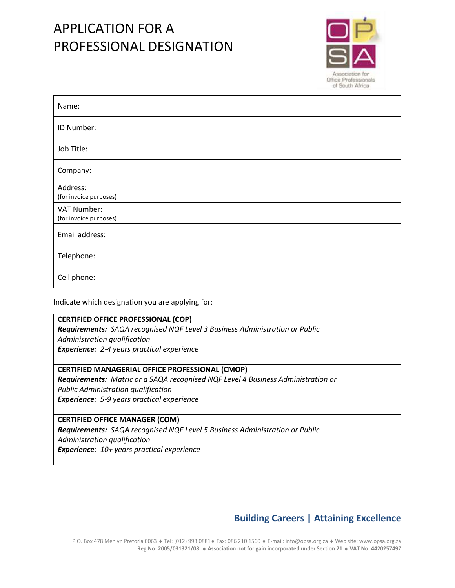## APPLICATION FOR A PROFESSIONAL DESIGNATION



| Name:                                 |  |
|---------------------------------------|--|
| ID Number:                            |  |
| Job Title:                            |  |
| Company:                              |  |
| Address:<br>(for invoice purposes)    |  |
| VAT Number:<br>(for invoice purposes) |  |
| Email address:                        |  |
| Telephone:                            |  |
| Cell phone:                           |  |

Indicate which designation you are applying for:

| <b>CERTIFIED OFFICE PROFESSIONAL (COP)</b>                                       |  |  |  |
|----------------------------------------------------------------------------------|--|--|--|
| Requirements: SAQA recognised NQF Level 3 Business Administration or Public      |  |  |  |
| Administration qualification                                                     |  |  |  |
| <b>Experience:</b> 2-4 years practical experience                                |  |  |  |
|                                                                                  |  |  |  |
| <b>CERTIFIED MANAGERIAL OFFICE PROFESSIONAL (CMOP)</b>                           |  |  |  |
| Requirements: Matric or a SAQA recognised NQF Level 4 Business Administration or |  |  |  |
| <b>Public Administration qualification</b>                                       |  |  |  |
| <b>Experience:</b> 5-9 years practical experience                                |  |  |  |
|                                                                                  |  |  |  |
| <b>CERTIFIED OFFICE MANAGER (COM)</b>                                            |  |  |  |
| Requirements: SAQA recognised NQF Level 5 Business Administration or Public      |  |  |  |
| Administration qualification                                                     |  |  |  |
| <b>Experience:</b> 10+ years practical experience                                |  |  |  |
|                                                                                  |  |  |  |

## **Building Careers | Attaining Excellence**